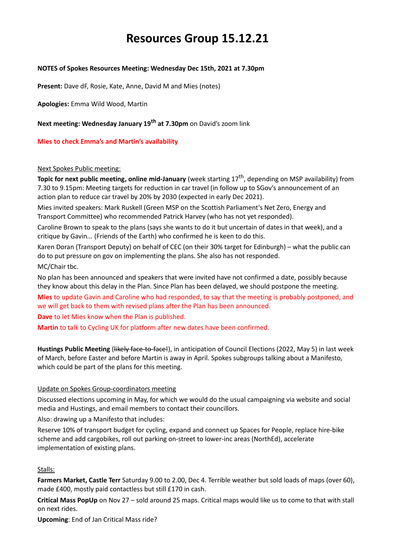# **Resources Group 15.12.21**

# **NOTES of Spokes Resources Meeting: Wednesday Dec 15th, 2021 at 7.30pm**

**Present:** Dave dF, Rosie, Kate, Anne, David M and Mies (notes)

**Apologies:** Emma Wild Wood, Martin

**Next meeting: Wednesday January 19th at 7.30pm** on David's zoom link

**Mies to check Emma's and Martin's availability** 

## Next Spokes Public meeting:

**Topic for next public meeting, online mid-January** (week starting 17<sup>th</sup>, depending on MSP availability) from 7.30 to 9.15pm: Meeting targets for reduction in car travel (in follow up to SGov's announcement of an action plan to reduce car travel by 20% by 2030 (expected in early Dec 2021).

Mies invited speakers: Mark Ruskell (Green MSP on the Scottish Parliament's Net Zero, Energy and Transport Committee) who recommended Patrick Harvey (who has not yet responded).

Caroline Brown to speak to the plans (says she wants to do it but uncertain of dates in that week), and a critique by Gavin... (Friends of the Earth) who confirmed he is keen to do this.

Karen Doran (Transport Deputy) on behalf of CEC (on their 30% target for Edinburgh) – what the public can do to put pressure on gov on implementing the plans. She also has not responded. MC/Chair tbc.

No plan has been announced and speakers that were invited have not confirmed a date, possibly because they know about this delay in the Plan. Since Plan has been delayed, we should postpone the meeting.

**Mies** to update Gavin and Caroline who had responded, to say that the meeting is probably postponed, and we will get back to them with revised plans after the Plan has been announced.

**Dave** to let Mies know when the Plan is published.

**Martin** to talk to Cycling UK for platform after new dates have been confirmed.

**Hustings Public Meeting** (Hitely face-to-face!), in anticipation of Council Elections (2022, May 5) in last week of March, before Easter and before Martin is away in April. Spokes subgroups talking about a Manifesto, which could be part of the plans for this meeting.

# Update on Spokes Group-coordinators meeting

Discussed elections upcoming in May, for which we would do the usual campaigning via website and social media and Hustings, and email members to contact their councillors.

Also: drawing up a Manifesto that includes:

Reserve 10% of transport budget for cycling, expand and connect up Spaces for People, replace hire-bike scheme and add cargobikes, roll out parking on-street to lower-inc areas (NorthEd), accelerate implementation of existing plans.

# Stalls:

**Farmers Market, Castle Terr** Saturday 9.00 to 2.00, Dec 4. Terrible weather but sold loads of maps (over 60), made £400, mostly paid contactless but still £170 in cash.

**Critical Mass PopUp** on Nov 27 – sold around 25 maps. Critical maps would like us to come to that with stall on next rides.

**Upcoming**: End of Jan Critical Mass ride?